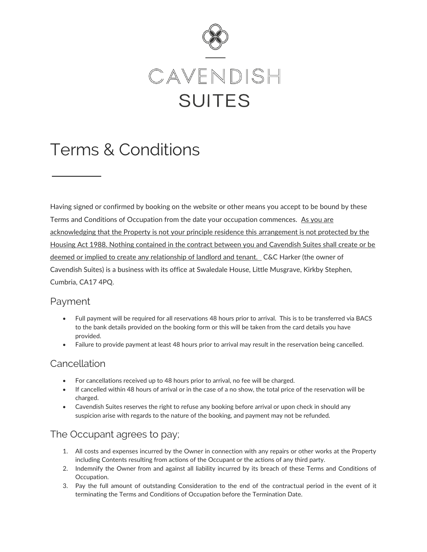

# Terms & Conditions

Having signed or confirmed by booking on the website or other means you accept to be bound by these Terms and Conditions of Occupation from the date your occupation commences. As you are acknowledging that the Property is not your principle residence this arrangement is not protected by the Housing Act 1988. Nothing contained in the contract between you and Cavendish Suites shall create or be deemed or implied to create any relationship of landlord and tenant. C&C Harker (the owner of Cavendish Suites) is a business with its office at Swaledale House, Little Musgrave, Kirkby Stephen, Cumbria, CA17 4PQ.

# Payment

- Full payment will be required for all reservations 48 hours prior to arrival. This is to be transferred via BACS to the bank details provided on the booking form or this will be taken from the card details you have provided.
- Failure to provide payment at least 48 hours prior to arrival may result in the reservation being cancelled.

# **Cancellation**

- For cancellations received up to 48 hours prior to arrival, no fee will be charged.
- If cancelled within 48 hours of arrival or in the case of a no show, the total price of the reservation will be charged.
- Cavendish Suites reserves the right to refuse any booking before arrival or upon check in should any suspicion arise with regards to the nature of the booking, and payment may not be refunded.

# The Occupant agrees to pay;

- 1. All costs and expenses incurred by the Owner in connection with any repairs or other works at the Property including Contents resulting from actions of the Occupant or the actions of any third party.
- 2. Indemnify the Owner from and against all liability incurred by its breach of these Terms and Conditions of Occupation.
- 3. Pay the full amount of outstanding Consideration to the end of the contractual period in the event of it terminating the Terms and Conditions of Occupation before the Termination Date.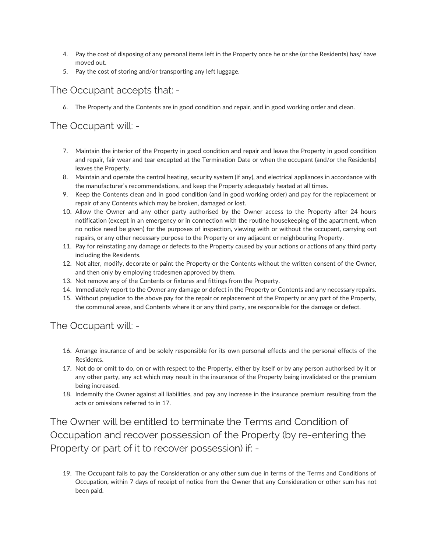- 4. Pay the cost of disposing of any personal items left in the Property once he or she (or the Residents) has/ have moved out.
- 5. Pay the cost of storing and/or transporting any left luggage.

The Occupant accepts that: -

6. The Property and the Contents are in good condition and repair, and in good working order and clean.

#### The Occupant will: -

- 7. Maintain the interior of the Property in good condition and repair and leave the Property in good condition and repair, fair wear and tear excepted at the Termination Date or when the occupant (and/or the Residents) leaves the Property.
- 8. Maintain and operate the central heating, security system (if any), and electrical appliances in accordance with the manufacturer's recommendations, and keep the Property adequately heated at all times.
- 9. Keep the Contents clean and in good condition (and in good working order) and pay for the replacement or repair of any Contents which may be broken, damaged or lost.
- 10. Allow the Owner and any other party authorised by the Owner access to the Property after 24 hours notification (except in an emergency or in connection with the routine housekeeping of the apartment, when no notice need be given) for the purposes of inspection, viewing with or without the occupant, carrying out repairs, or any other necessary purpose to the Property or any adjacent or neighbouring Property.
- 11. Pay for reinstating any damage or defects to the Property caused by your actions or actions of any third party including the Residents.
- 12. Not alter, modify, decorate or paint the Property or the Contents without the written consent of the Owner, and then only by employing tradesmen approved by them.
- 13. Not remove any of the Contents or fixtures and fittings from the Property.
- 14. Immediately report to the Owner any damage or defect in the Property or Contents and any necessary repairs.
- 15. Without prejudice to the above pay for the repair or replacement of the Property or any part of the Property, the communal areas, and Contents where it or any third party, are responsible for the damage or defect.

# The Occupant will: -

- 16. Arrange insurance of and be solely responsible for its own personal effects and the personal effects of the Residents.
- 17. Not do or omit to do, on or with respect to the Property, either by itself or by any person authorised by it or any other party, any act which may result in the insurance of the Property being invalidated or the premium being increased.
- 18. Indemnify the Owner against all liabilities, and pay any increase in the insurance premium resulting from the acts or omissions referred to in 17.

The Owner will be entitled to terminate the Terms and Condition of Occupation and recover possession of the Property (by re-entering the Property or part of it to recover possession) if: -

19. The Occupant fails to pay the Consideration or any other sum due in terms of the Terms and Conditions of Occupation, within 7 days of receipt of notice from the Owner that any Consideration or other sum has not been paid.